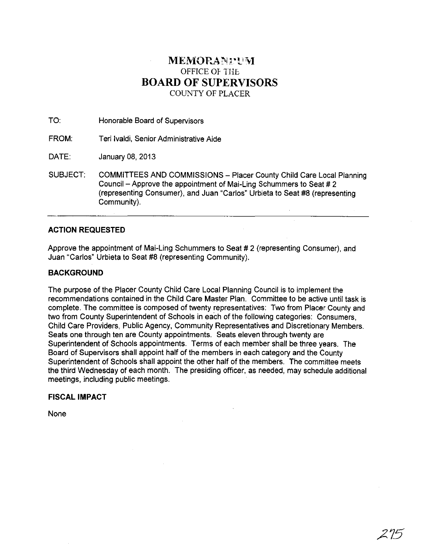# MEMORANTUM OFFICE OF THE **BOARD OF SUPERVISORS**  COUNTY OF PLACER

TO: Honorable Board of Supervisors

FROM: Teri Ivaldi, Senior Administrative Aide

DATE: January 08, 2013

SUBJECT: COMMITTEES AND COMMISSIONS - Placer County Child Care Local Planning Council - Approve the appointment of Mai-Ling Schummers to Seat # 2 (representing Consumer), and Juan "Carlos" Urbieta to Seat #8 (representing Community).

## **ACTION REQUESTED**

Approve the appointment of Mai-Ling Schummers to Seat # 2 (representing Consumer), and Juan "Carlos" Urbieta to Seat #8 (representing Community).

## **BACKGROUND**

The purpose of the Placer County Child Care Local Planning Council is to implement the recommendations contained in the Child Care Master Plan. Committee to be active until task is complete. The committee is composed of twenty representatives: Two from Placer County and two from County Superintendent of Schools in each of the following categories: Consumers, Child Care Providers, Public Agency, Community Representatives and Discretionary Members. Seats one through ten are County appointments. Seats eleven through twenty are Superintendent of Schools appointments. Terms of each member shall be three years. The Board of Supervisors shall appoint half of the members in each category and the County Superintendent of Schools shall appoint the other half of the members. The committee meets the third Wednesday of each month. The presiding officer, as needed, may schedule additional meetings, including public meetings.

### **FISCAL IMPACT**

None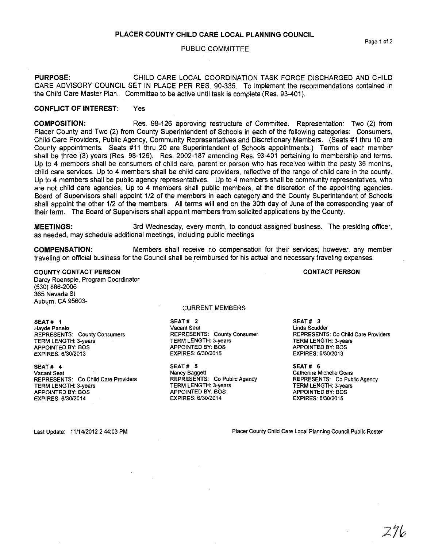#### PUBLIC COMMITTEE

PURPOSE: CHILD CARE LOCAL COORDINATION TASK FORCE DISCHARGED AND CHILD CARE ADVISORY COUNCIL SET IN PLACE PER RES. 90-335. To implement the recommendations contained in the Child Care Master Plan. Committee to be active until task is complete (Res. 93-401).

## CONFLICT OF INTEREST: Yes

COMPOSITION: Res. 98-126 approving restructure of Committee. Representation: Two (2) from Placer County and Two (2) from County Superintendent of Schools in each of the following categories: Consumers, Child Care Providers, Public Agency, Community Representatives and Discretionary Members. (Seats #1 thru 10 are County appointments. Seats #11 thru 20 are Superintendent of Schools appointments.) Terms of each member shall be three (3) years (Res. 98-126). Res. 2002-187 amending Res. 93-401 pertaining to membership and terms. Up to 4 members shall be consumers of child care, parent or person who has received within the pasty 36 months, child care services. Up to 4 members shall be child care providers, reflective of the range of child care in the county. Up to 4 members shall be public agency representatives. Up to 4 members shall be community representatives, who are not child care agencies. Up to 4 members shall public members, at the discretion of the appointing agencies. Board of Supervisors shall appoint 112 of the members in each category and the County Superintendent of Schools shall appoint the other 112 of the members. All terms will end on the 30th day of June of the corresponding year of their term. The Board of Supervisors shall appoint members from solicited applications by the County.

MEETINGS: 3rd Wednesday, every month, to conduct assigned business. The presiding officer, as needed, may schedule additional meetings, including public meetings

COMPENSATION: Members shall receive no compensation for their services; however, any member traveling on official business for the Council shall be reimbursed for his actual and necessary traveling expenses.

## COUNTY CONTACT PERSON

Darcy Roenspie, Program Coordinator (530) 886-2006 365 Nevada St Auburn, CA 95603-

#### SEAT# 1

**Hayde Panelo**  REPRESENTS: County Consumers TERM LENGTH: 3-years APPOINTEO BY: BOS EXPIRES: 6/30/2013

#### SEAT# 4

**Vacant Seat**  REPRESENTS: Co Child Care Providers TERM LENGTH: 3-years APPOINTED BY: BOS EXPIRES: 6/30/2014

CURRENT MEMBERS

SEAT # 2 **Vacant Seat**  REPRESENTS: County Consumer TERM LENGTH: 3-years APPOINTED BY: BOS EXPIRES: 6/30/2015

SEAT # 5 Nancy Baggett REPRESENTS: Co Public Agency TERM LENGTH: 3-years APPOINTED BY: BOS EXPIRES: 6/30/2014

SEAT# 3 **Linda Scudder**  REPRESENTS: Co Child Care Providers TERM LENGTH: 3-years APPOINTED BY: BOS EXPIRES: 6130/2013

SEAT# 6 **Catherine MichelJe Goins**  REPRESENTS: Co Public Agency TERM LENGTH: 3-years APPOINTED BY: BOS EXPIRES: 6/30/2015

Last Update: 11/14/2012 2:44:03 PM

**Placer County Child Care Local Planning Council Public Roster** 

CONTACT PERSON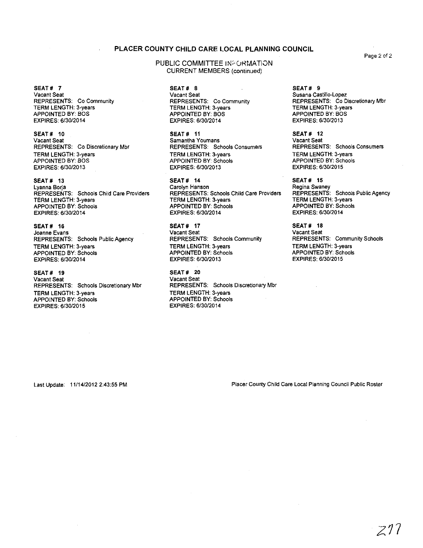### PLACER COUNTY CHILD CARE LOCAL PLANNING COUNCIL

SEAT# 7 **Vacant Seat**  REPRESENTS: Co Community TERM LENGTH: 3-years APPOINTED BY: BOS EXPIRES: 6/30/2014

SEAT# 10 **Vacant Seat**  REPRESENTS: Co Discretionary Mbr TERM LENGTH: 3-years APPOINTED BY: BOS EXPIRES: 6/30/2013

SEAT # 13 **Lyanna Borja**  REPRESENTS: Schools Child Care Providers TERM LENGTH: 3-years APPOINTED BY: Schools EXPIRES: 6/30/2014

SEAT # 16 **Joanne Evans**  REPRESENTS: Schools Public Agency TERM LENGTH: 3-years APPOINTED BY: Schools EXPIRES: 6/30/2014

SEAT# 19 **Vacant Seat**  REPRESENTS: Schools Discretionary Mbr TERM LENGTH: 3-years APPOINTED BY: Schools EXPIRES: 6/30/2015

PUBLIC COMMITTEE INFORMATION CURRENT MEMBERS (continued)

> SEAT # 8 **Vacant Seat**  REPRESENTS: Co Community TERM LENGTH: 3-years APPOINTED BY: BOS EXPIRES: 6/30/2014

SEAT # 11 **Samantha Youmans**  REPRESENTS: Schools Consumers TERM LENGTH: 3-years APPOINTED BY: Schools EXPIRES: 6/30/2013

SEAT# 14 **Carolyn Hanson**  REPRESENTS: Schools Child Care Providers TERM LENGTH: 3-years APPOINTED BY: Schools EXPIRES: 6/30/2014

SEAT# 17 **Vacant Seat**  REPRESENTS: Schools Community TERM LENGTH: 3-years APPOINTED BY: Schools EXPIRES: 6/30/2013

SEAT# 20 **Vacant Seat REPRESENTS: Schools Discretionary Mbr**  TERM LENGTH: 3-years APPOINTED BY: Schools EXPIRES: 6/30/2014

SEAT# 9 **Susana Castillo-Lopez**  REPRESENTS: Co Discretionary Mbr TERM LENGTH: 3-years APPOINTED BY: BOS EXPIRES: 6/30/2013

SEAT# 12 **Vacant Seat**  REPRESENTS: Schools Consumers TERM LENGTH: 3-years APPOINTED BY: Schools EXPIRES: 6/30/2015

SEAT # 15 **Regina Swaney**  REPRESENTS: Schools Public Agency TERM LENGTH: 3-years APPOINTED BY: Schools EXPIRES: 6/30/2014

SEAT# 18 **Vacant Seat**  REPRESENTS: Community Schools TERM LENGTH: 3-years APPOINTED BY: Schools EXPIRES: 6130/2015

Last Update: 11/14/2012 2:43:55 PM

**Placer County Child Care Local Planning Council Public Roster** 

**Page** 2 of 2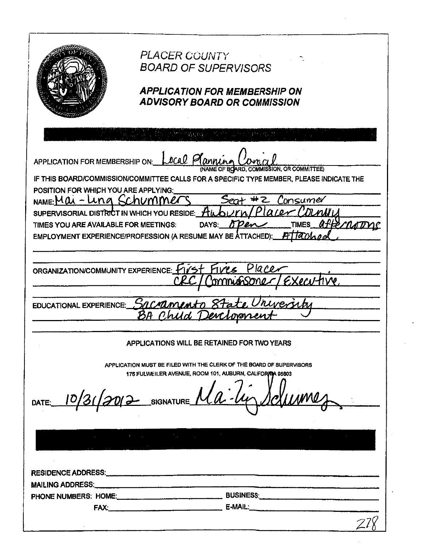|                                | <i>PLACER COUNTY</i><br><b>BOARD OF SUPERVISORS</b><br><b>APPLICATION FOR MEMBERSHIP ON</b><br><b>ADVISORY BOARD OR COMMISSION</b> |
|--------------------------------|------------------------------------------------------------------------------------------------------------------------------------|
|                                |                                                                                                                                    |
|                                |                                                                                                                                    |
|                                |                                                                                                                                    |
|                                | APPLICATION FOR MEMBERSHIP ON: LOCAL Planning<br>(NAME OF BOARD, COMMISSION, OR COMMITTEE)                                         |
|                                | IF THIS BOARD/COMMISSION/COMMITTEE CALLS FOR A SPECIFIC TYPE MEMBER, PLEASE INDICATE THE                                           |
|                                | POSITION FOR WHICH YOU ARE APPLYING:                                                                                               |
|                                | NAME:Mai-Ling Schummer<br>Consumer                                                                                                 |
|                                | עגוע ות'<br>SUPERVISORIAL DISTRICT IN WHICH YOU RESIDE:                                                                            |
|                                | a kedi<br>TIMES YOU ARE AVAILABLE FOR MEETINGS:<br>DAYS:<br>TIMES<br>71 I                                                          |
|                                | EMPLOYMENT EXPERIENCE/PROFESSION (A RESUME MAY BE ATTACHED):                                                                       |
|                                |                                                                                                                                    |
|                                |                                                                                                                                    |
|                                | la C.C<br>ORGANIZATION/COMMUNITY EXPERIENCE: Y                                                                                     |
|                                | (pri                                                                                                                               |
|                                |                                                                                                                                    |
| <b>EDUCATIONAL EXPERIENCE:</b> | Sacrament                                                                                                                          |
|                                |                                                                                                                                    |
|                                |                                                                                                                                    |
|                                |                                                                                                                                    |
|                                | APPLICATIONS WILL BE RETAINED FOR TWO TEARS                                                                                        |
|                                |                                                                                                                                    |
|                                | APPLICATION MUST BE FILED WITH THE CLERK OF THE BOARD OF SUPERVISORS<br>175 FULWEILER AVENUE, ROOM 101, AUBURN, CALIFORNIA 95803   |
|                                |                                                                                                                                    |
|                                | DATE: 10/31/2012 SIGNATURE Ma-lin Schumes                                                                                          |
|                                |                                                                                                                                    |
|                                |                                                                                                                                    |
|                                |                                                                                                                                    |
|                                |                                                                                                                                    |
|                                |                                                                                                                                    |
|                                |                                                                                                                                    |
|                                |                                                                                                                                    |
|                                |                                                                                                                                    |
|                                | PHONE NUMBERS: HOME: COMPUTER BUSINESS:                                                                                            |
|                                |                                                                                                                                    |
|                                |                                                                                                                                    |
|                                |                                                                                                                                    |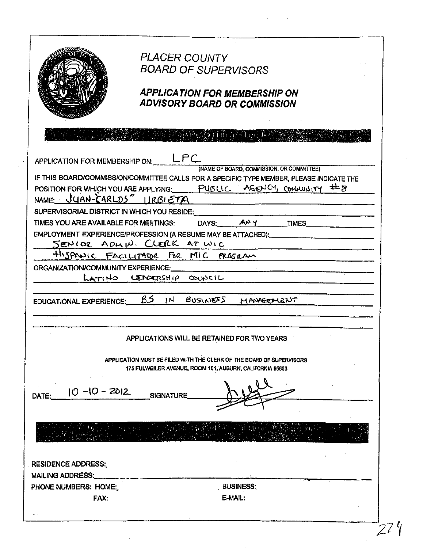|                                                      | <b>PLACER COUNTY</b><br><b>BOARD OF SUPERVISORS</b><br><b>APPLICATION FOR MEMBERSHIP ON</b><br><b>ADVISORY BOARD OR COMMISSION</b>                                                                        |
|------------------------------------------------------|-----------------------------------------------------------------------------------------------------------------------------------------------------------------------------------------------------------|
|                                                      | Ash Andham and The Holders and                                                                                                                                                                            |
| APPLICATION FOR MEMBERSHIP ON: LPC                   |                                                                                                                                                                                                           |
| NAME: $UYAN-CARLDS'' HRBIETA$                        | (NAME OF BOARD, COMMISSION, OR COMMITTEE)<br>IF THIS BOARD/COMMISSION/COMMITTEE CALLS FOR A SPECIFIC TYPE MEMBER, PLEASE INDICATE THE<br>POSITION FOR WHICH YOU ARE APPLYING: PUBLIC AGENCY, COMMUNITY #8 |
| SUPERVISORIAL DISTRICT IN WHICH YOU RESIDE:          |                                                                                                                                                                                                           |
| TIMES YOU ARE AVAILABLE FOR MEETINGS:                | DAYS: ANY TIMES<br>EMPLOYMENT EXPERIENCE/PROFESSION (A RESUME MAY BE ATTACHED): CONTRIBUTION                                                                                                              |
|                                                      | SENIOR ADMIN. CLERK AT WIC                                                                                                                                                                                |
| ORGANIZATION/COMMUNITY EXPERIENCE:                   | HISPANIC FACILITATOR FOR MIC PROGRAM                                                                                                                                                                      |
|                                                      | LATINO LEADERSHIP COUNCIL                                                                                                                                                                                 |
|                                                      |                                                                                                                                                                                                           |
| EDUCATIONAL EXPERIENCE:                              | BS.<br>1 <sup>H</sup><br>BUSINESS<br>MANGEMENT                                                                                                                                                            |
|                                                      |                                                                                                                                                                                                           |
|                                                      |                                                                                                                                                                                                           |
|                                                      | APPLICATIONS WILL BE RETAINED FOR TWO YEARS                                                                                                                                                               |
|                                                      | APPLICATION MUST BE FILED WITH THE CLERK OF THE BOARD OF SUPERVISORS<br>175 FULWEILER AVENUE, ROOM 101, AUBURN, CALIFORNIA 95603                                                                          |
| 10 -10 - 2012<br>DATE:                               | <b>SIGNATURE</b>                                                                                                                                                                                          |
|                                                      |                                                                                                                                                                                                           |
|                                                      |                                                                                                                                                                                                           |
|                                                      |                                                                                                                                                                                                           |
|                                                      |                                                                                                                                                                                                           |
| <b>RESIDENCE ADDRESS:</b><br><b>MAILING ADDRESS:</b> |                                                                                                                                                                                                           |
| PHONE NUMBERS: HOME:                                 | , BUSINESS;                                                                                                                                                                                               |
| FAX.                                                 | E-MAIL:                                                                                                                                                                                                   |

 $\ddot{\phantom{0}}$ 

 $\frac{1}{2} \left( \frac{1}{2} \right) \left( \frac{1}{2} \right) \left( \frac{1}{2} \right)$ 

 $\sim$